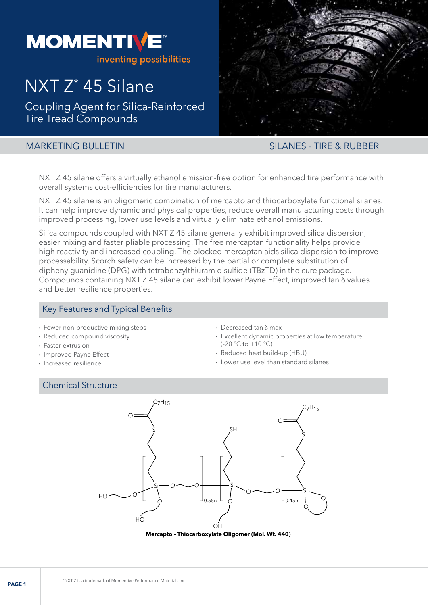

# NXT Z\* 45 Silane

Coupling Agent for Silica-Reinforced Tire Tread Compounds



# MARKETING BULLETIN SILANES - TIRE & RUBBER

NXT Z 45 silane offers a virtually ethanol emission-free option for enhanced tire performance with overall systems cost-efficiencies for tire manufacturers.

NXT Z 45 silane is an oligomeric combination of mercapto and thiocarboxylate functional silanes. It can help improve dynamic and physical properties, reduce overall manufacturing costs through improved processing, lower use levels and virtually eliminate ethanol emissions.

Silica compounds coupled with NXT Z 45 silane generally exhibit improved silica dispersion, easier mixing and faster pliable processing. The free mercaptan functionality helps provide high reactivity and increased coupling. The blocked mercaptan aids silica dispersion to improve processability. Scorch safety can be increased by the partial or complete substitution of diphenylguanidine (DPG) with tetrabenzylthiuram disulfide (TBzTD) in the cure package. Compounds containing NXT Z 45 silane can exhibit lower Payne Effect, improved tan d values and better resilience properties.

# Key Features and Typical Benefits

- Fewer non-productive mixing steps
- Reduced compound viscosity
- Faster extrusion
- Improved Payne Effect
- Increased resilience

# Chemical Structure

- $\cdot$  Decreased tan  $\delta$  max
- Excellent dynamic properties at low temperature  $(-20 °C \text{ to } +10 °C)$
- Reduced heat build-up (HBU)
- Lower use level than standard silanes



**Mercapto – Thiocarboxylate Oligomer (Mol. Wt. 440)**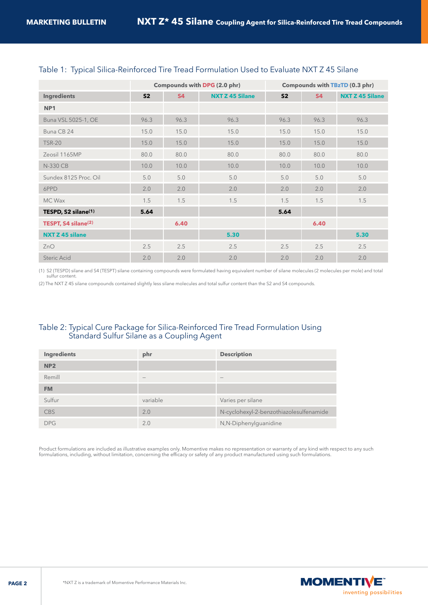|                                 | Compounds with DPG (2.0 phr) |           |                        | Compounds with TBzTD (0.3 phr) |           |                        |
|---------------------------------|------------------------------|-----------|------------------------|--------------------------------|-----------|------------------------|
| <b>Ingredients</b>              | S <sub>2</sub>               | <b>S4</b> | <b>NXT Z 45 Silane</b> | S <sub>2</sub>                 | <b>S4</b> | <b>NXT Z 45 Silane</b> |
| NP <sub>1</sub>                 |                              |           |                        |                                |           |                        |
| Buna VSL 5025-1, OE             | 96.3                         | 96.3      | 96.3                   | 96.3                           | 96.3      | 96.3                   |
| Buna CB 24                      | 15.0                         | 15.0      | 15.0                   | 15.0                           | 15.0      | 15.0                   |
| <b>TSR-20</b>                   | 15.0                         | 15.0      | 15.0                   | 15.0                           | 15.0      | 15.0                   |
| Zeosil 1165MP                   | 80.0                         | 80.0      | 80.0                   | 80.0                           | 80.0      | 80.0                   |
| N-330 CB                        | 10.0                         | 10.0      | 10.0                   | 10.0                           | 10.0      | 10.0                   |
| Sundex 8125 Proc. Oil           | 5.0                          | 5.0       | 5.0                    | 5.0                            | 5.0       | 5.0                    |
| 6PPD                            | 2.0                          | 2.0       | 2.0                    | 2.0                            | 2.0       | 2.0                    |
| MC Wax                          | 1.5                          | 1.5       | 1.5                    | 1.5                            | 1.5       | 1.5                    |
| TESPD, S2 silane <sup>(1)</sup> | 5.64                         |           |                        | 5.64                           |           |                        |
| TESPT, S4 silane <sup>(2)</sup> |                              | 6.40      |                        |                                | 6.40      |                        |
| <b>NXT Z 45 silane</b>          |                              |           | 5.30                   |                                |           | 5.30                   |
| ZnO                             | 2.5                          | 2.5       | 2.5                    | 2.5                            | 2.5       | 2.5                    |
| Steric Acid                     | 2.0                          | 2.0       | 2.0                    | 2.0                            | 2.0       | 2.0                    |

#### Table 1: Typical Silica-Reinforced Tire Tread Formulation Used to Evaluate NXT Z 45 Silane

(1) S2 (TESPD) silane and S4 (TESPT) silane containing compounds were formulated having equivalent number of silane molecules (2 molecules per mole) and total sulfur content.

(2) The NXT Z 45 silane compounds contained slightly less silane molecules and total sulfur content than the S2 and S4 compounds.

#### Table 2: Typical Cure Package for Silica-Reinforced Tire Tread Formulation Using Standard Sulfur Silane as a Coupling Agent

| Ingredients     | phr             | <b>Description</b>                      |
|-----------------|-----------------|-----------------------------------------|
| NP <sub>2</sub> |                 |                                         |
| Remill          | $\qquad \qquad$ | $\overline{\phantom{a}}$                |
| <b>FM</b>       |                 |                                         |
| Sulfur          | variable        | Varies per silane                       |
| <b>CBS</b>      | 2.0             | N-cyclohexyl-2-benzothiazolesulfenamide |
| <b>DPG</b>      | 2.0             | N,N-Diphenylguanidine                   |

Product formulations are included as illustrative examples only. Momentive makes no representation or warranty of any kind with respect to any such formulations, including, without limitation, concerning the efficacy or safety of any product manufactured using such formulations.

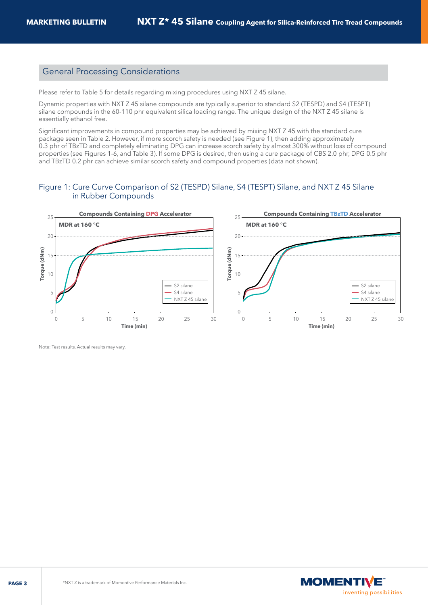#### General Processing Considerations

Please refer to Table 5 for details regarding mixing procedures using NXT Z 45 silane.

Dynamic properties with NXT Z 45 silane compounds are typically superior to standard S2 (TESPD) and S4 (TESPT) silane compounds in the 60-110 phr equivalent silica loading range. The unique design of the NXT Z 45 silane is essentially ethanol free.

Significant improvements in compound properties may be achieved by mixing NXT Z 45 with the standard cure package seen in Table 2. However, if more scorch safety is needed (see Figure 1), then adding approximately 0.3 phr of TBzTD and completely eliminating DPG can increase scorch safety by almost 300% without loss of compound properties (see Figures 1-6, and Table 3). If some DPG is desired, then using a cure package of CBS 2.0 phr, DPG 0.5 phr and TBzTD 0.2 phr can achieve similar scorch safety and compound properties (data not shown).

#### Figure 1: Cure Curve Comparison of S2 (TESPD) Silane, S4 (TESPT) Silane, and NXT Z 45 Silane in Rubber Compounds



Note: Test results. Actual results may vary.

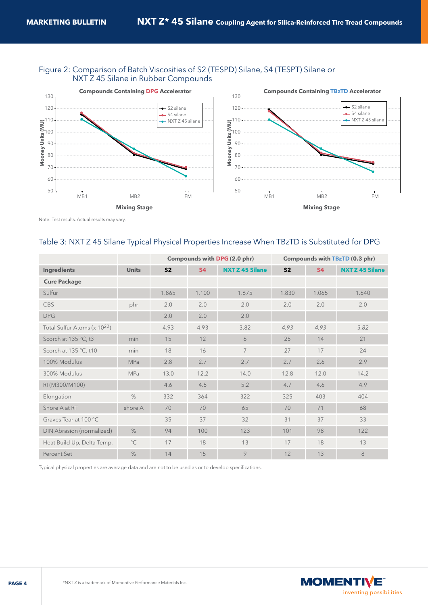#### Figure 2: Comparison of Batch Viscosities of S2 (TESPD) Silane, S4 (TESPT) Silane or NXT Z 45 Silane in Rubber Compounds



Note: Test results. Actual results may vary.

# Table 3: NXT Z 45 Silane Typical Physical Properties Increase When TBzTD is Substituted for DPG

|                             |              | Compounds with DPG (2.0 phr) |           |                        | Compounds with TBzTD (0.3 phr) |           |                        |
|-----------------------------|--------------|------------------------------|-----------|------------------------|--------------------------------|-----------|------------------------|
| <b>Ingredients</b>          | <b>Units</b> | S <sub>2</sub>               | <b>S4</b> | <b>NXT Z 45 Silane</b> | S <sub>2</sub>                 | <b>S4</b> | <b>NXT Z 45 Silane</b> |
| <b>Cure Package</b>         |              |                              |           |                        |                                |           |                        |
| Sulfur                      |              | 1.865                        | 1.100     | 1.675                  | 1.830                          | 1.065     | 1.640                  |
| <b>CBS</b>                  | phr          | 2.0                          | 2.0       | 2.0                    | 2.0                            | 2.0       | 2.0                    |
| <b>DPG</b>                  |              | 2.0                          | 2.0       | 2.0                    |                                |           |                        |
| Total Sulfur Atoms (x 1022) |              | 4.93                         | 4.93      | 3.82                   | 4.93                           | 4.93      | 3.82                   |
| Scorch at 135 °C, t3        | min          | 15                           | 12        | 6                      | 25                             | 14        | 21                     |
| Scorch at 135 °C, t10       | min          | 18                           | 16        | $\overline{7}$         | 27                             | 17        | 24                     |
| 100% Modulus                | <b>MPa</b>   | 2.8                          | 2.7       | 2.7                    | 2.7                            | 2.6       | 2.9                    |
| 300% Modulus                | <b>MPa</b>   | 13.0                         | 12.2      | 14.0                   | 12.8                           | 12.0      | 14.2                   |
| RI (M300/M100)              |              | 4.6                          | 4.5       | 5.2                    | 4.7                            | 4.6       | 4.9                    |
| Elongation                  | $\%$         | 332                          | 364       | 322                    | 325                            | 403       | 404                    |
| Shore A at RT               | shore A      | 70                           | 70        | 65                     | 70                             | 71        | 68                     |
| Graves Tear at 100 °C       |              | 35                           | 37        | 32                     | 31                             | 37        | 33                     |
| DIN Abrasion (normalized)   | $\%$         | 94                           | 100       | 123                    | 101                            | 98        | 122                    |
| Heat Build Up, Delta Temp.  | $^{\circ}C$  | 17                           | 18        | 13                     | 17                             | 18        | 13                     |
| Percent Set                 | %            | 14                           | 15        | 9                      | 12                             | 13        | 8                      |

Typical physical properties are average data and are not to be used as or to develop specifications.

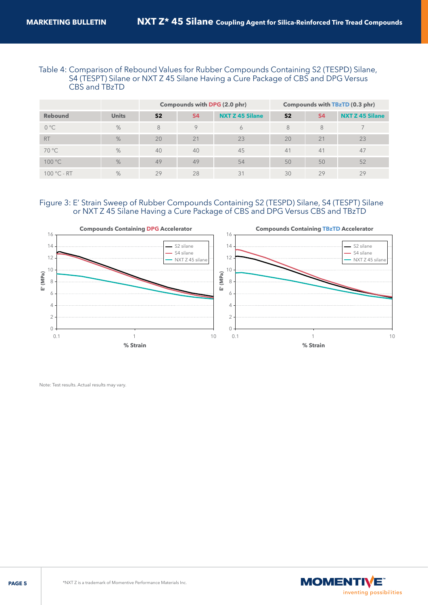#### Table 4: Comparison of Rebound Values for Rubber Compounds Containing S2 (TESPD) Silane, S4 (TESPT) Silane or NXT Z 45 Silane Having a Cure Package of CBS and DPG Versus CBS and TBzTD

|                |              | Compounds with DPG (2.0 phr) |           |                        |                |           | Compounds with TBzTD (0.3 phr) |
|----------------|--------------|------------------------------|-----------|------------------------|----------------|-----------|--------------------------------|
| <b>Rebound</b> | <b>Units</b> | S <sub>2</sub>               | <b>S4</b> | <b>NXT Z 45 Silane</b> | S <sub>2</sub> | <b>S4</b> | <b>NXT Z 45 Silane</b>         |
| $0^{\circ}$ C  | %            | 8                            | $\circ$   | 6                      | 8              | 8         |                                |
| <b>RT</b>      | %            | 20                           | 21        | 23                     | 20             | 21        | 23                             |
| $70^{\circ}$ C | %            | 40                           | 40        | 45                     | 41             | 41        | 47                             |
| 100 °C         | %            | 49                           | 49        | 54                     | 50             | 50        | 52                             |
| $100 °C - RT$  | $\%$         | 29                           | 28        | 31                     | 30             | 29        | 29                             |

#### Figure 3: E' Strain Sweep of Rubber Compounds Containing S2 (TESPD) Silane, S4 (TESPT) Silane or NXT Z 45 Silane Having a Cure Package of CBS and DPG Versus CBS and TBzTD



Note: Test results. Actual results may vary.

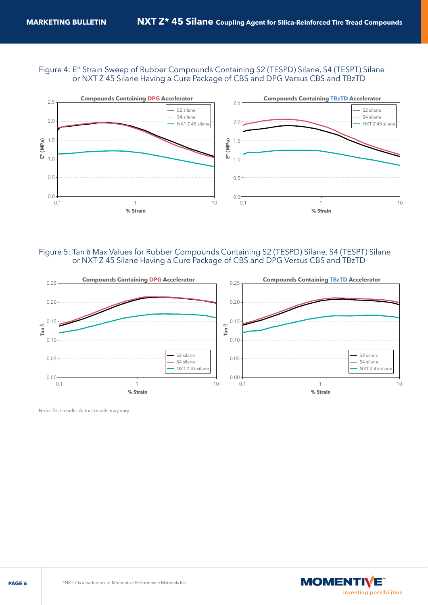#### Figure 4: E'' Strain Sweep of Rubber Compounds Containing S2 (TESPD) Silane, S4 (TESPT) Silane or NXT Z 45 Silane Having a Cure Package of CBS and DPG Versus CBS and TBzTD



#### Figure 5: Tan d Max Values for Rubber Compounds Containing S2 (TESPD) Silane, S4 (TESPT) Silane or NXT Z 45 Silane Having a Cure Package of CBS and DPG Versus CBS and TBzTD



Note: Test results. Actual results may vary.

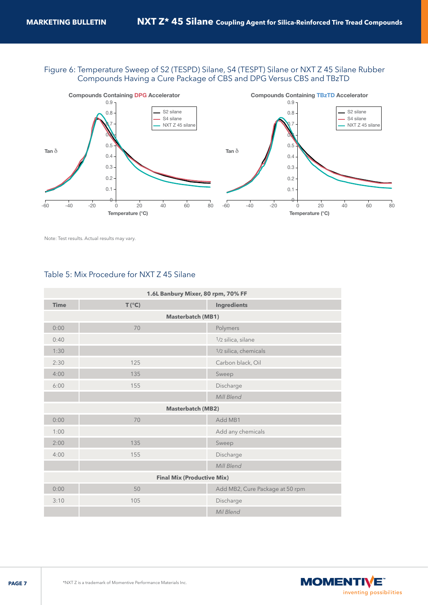#### Figure 6: Temperature Sweep of S2 (TESPD) Silane, S4 (TESPT) Silane or NXT Z 45 Silane Rubber Compounds Having a Cure Package of CBS and DPG Versus CBS and TBzTD



Note: Test results. Actual results may vary.

#### Table 5: Mix Procedure for NXT Z 45 Silane

| 1.6L Banbury Mixer, 80 rpm, 70% FF |                |  |                                 |  |  |  |
|------------------------------------|----------------|--|---------------------------------|--|--|--|
| <b>Time</b>                        | $T(^{\circ}C)$ |  | <b>Ingredients</b>              |  |  |  |
| Masterbatch (MB1)                  |                |  |                                 |  |  |  |
| 0:00                               | 70             |  | Polymers                        |  |  |  |
| 0:40                               |                |  | 1/2 silica, silane              |  |  |  |
| 1:30                               |                |  | 1/2 silica, chemicals           |  |  |  |
| 2:30                               | 125            |  | Carbon black, Oil               |  |  |  |
| 4:00                               | 135            |  | Sweep                           |  |  |  |
| 6:00                               | 155            |  | Discharge                       |  |  |  |
|                                    |                |  | Mill Blend                      |  |  |  |
| <b>Masterbatch (MB2)</b>           |                |  |                                 |  |  |  |
| 0:00                               | 70             |  | Add MB1                         |  |  |  |
| 1:00                               |                |  | Add any chemicals               |  |  |  |
| 2:00                               | 135            |  | Sweep                           |  |  |  |
| 4:00                               | 155            |  | Discharge                       |  |  |  |
|                                    |                |  | Mill Blend                      |  |  |  |
| <b>Final Mix (Productive Mix)</b>  |                |  |                                 |  |  |  |
| 0:00                               | 50             |  | Add MB2, Cure Package at 50 rpm |  |  |  |
| 3:10                               | 105            |  | Discharge                       |  |  |  |
|                                    |                |  | Mil Blend                       |  |  |  |